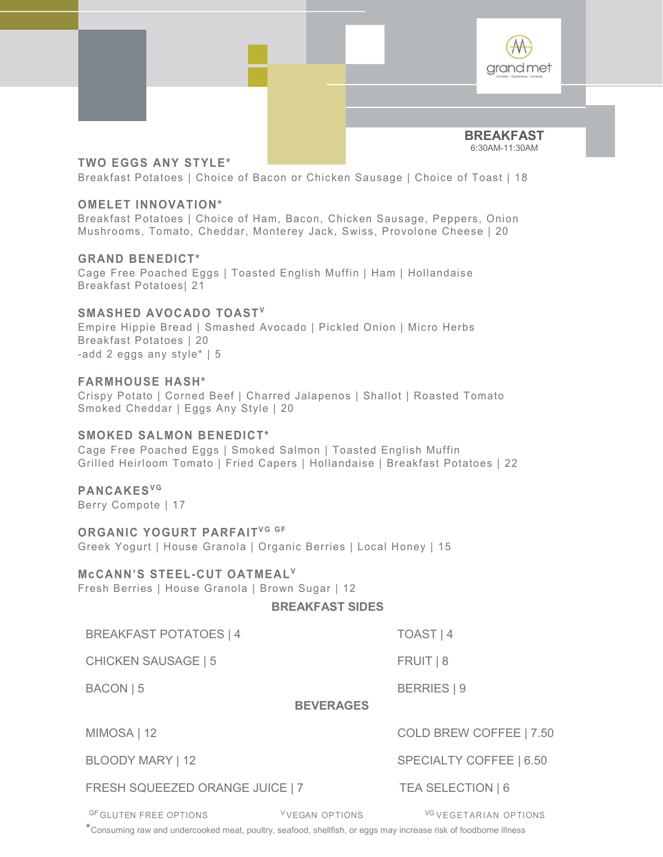

BREAKFAST 6:30AM-11:30AM

## TWO EGGS ANY STYLE\*

Breakfast Potatoes | Choice of Bacon or Chicken Sausage | Choice of Toast | 18

## OMELET INNOVATION\*

Breakfast Potatoes | Choice of Ham, Bacon, Chicken Sausage, Peppers, Onion Mushrooms, Tomato, Cheddar, Monterey Jack, Swiss, Provolone Cheese | 20

## GRAND BENEDICT\*

Cage Free Poached Eggs | Toasted English Muffin | Ham | Hollandaise Breakfast Potatoes| 21

STAND BOREARS THO EGGS ANY STYLE\*<br>
BREAKFAST<br>
BREAKFAST<br>
BREAKFAST<br>
BREAKFAST<br>
BREAKFAST<br>
PREAKFAST Potators | Choice of Bacon or Chicken Sausage | Choice of Toast | 18<br>
OMELET INNOVATION\*<br>
Mushrooms, Tomato, Chedar, Monte Empire Hippie Bread | Smashed Avocado | Pickled Onion | Micro Herbs Breakfast Potatoes | 20 -add 2 eggs any style\* | 5 OMELE I INNOVATION<br>
Breakfast Potatoes | Choice of Ham, Bacon, Chicken Sausage, Peppers, Onion<br>
Mushrooms, Tomato, Cheddar, Monterey Jack, Swiss, Provolone Cheese | 20<br>
GRAND BENEDICT\*<br>
Cage Free Poached Eggs | Toasted Eng GRAND BENEDICT\*<br>
Cage Free Poached Eggs | Toasted English Muffin | Ham | Hollandaise<br>
Breakfast Potatoes | 21<br>
SMASHED AVOCADO TOAST<sup>v</sup><br>
Empire Hippie Bread | Smashed Avocado | Pickled Onion | Micro Herbs<br>
Breakfast Potato BIMASHED AVOCADO TOAST<sup>V</sup><br>SIMASHED AVOCADO TOAST<sup>V</sup><br>Empire Hippie Bread | Smashed Avocado | Pickled Onion | Micro Herbs<br>Breakfast Potatoes | 20<br>add 2 eggs any style" | 5<br> $\blacktriangleright$  FARMHOUSE HASH"<br>Crispy Potato | Corned Beef

## FARMHOUSE HASH\*

Crispy Potato | Corned Beef | Charred Jalapenos | Shallot | Roasted Tomato Smoked Cheddar | Eggs Any Style | 20

## SMOKED SALMON BENEDICT\*

Cage Free Poached Eggs | Smoked Salmon | Toasted English Muffin Grilled Heirloom Tomato | Fried Capers | Hollandaise | Breakfast Potatoes | 22

Berry Compote | 17

Greek Yogurt | House Granola | Organic Berries | Local Honey | 15

Fresh Berries | House Granola | Brown Sugar | 12

BREAKFAST SIDES

BREAKFAST POTATOES | 4 TOAST | 4

CHICKEN SAUSAGE | 5 FRUIT | 8

BACON | 5 BERRIES | 9

BEVERAGES

MIMOSA | 12 COLD BREW COFFEE | 7.50

FRESH SQUEEZED ORANGE JUICE | 7 TEA SELECTION | 6

**EGANT FROM FRANCHIT"**<br>
CCANN'S STEEL-CUT OATMEAL"<br>
BREAKFAST SIDES<br>
BREAKFAST POTATOES |4<br>
BREAKFAST SIDES<br>
BREAKFAST POTATOES |4<br>
TOAST | 4<br>
CHICKEN SAUSAGE | 5<br>
FRUIT | 8<br>
BEVERAGES<br>
MIMOSA | 12<br>
COLD BREW COFFEE | 7.50 \*Consuming raw and undercooked meat, poultry, seafood, shellfish, or eggs may increase risk of foodborne illness

BLOODY MARY | 12 SPECIALTY COFFEE | 6.50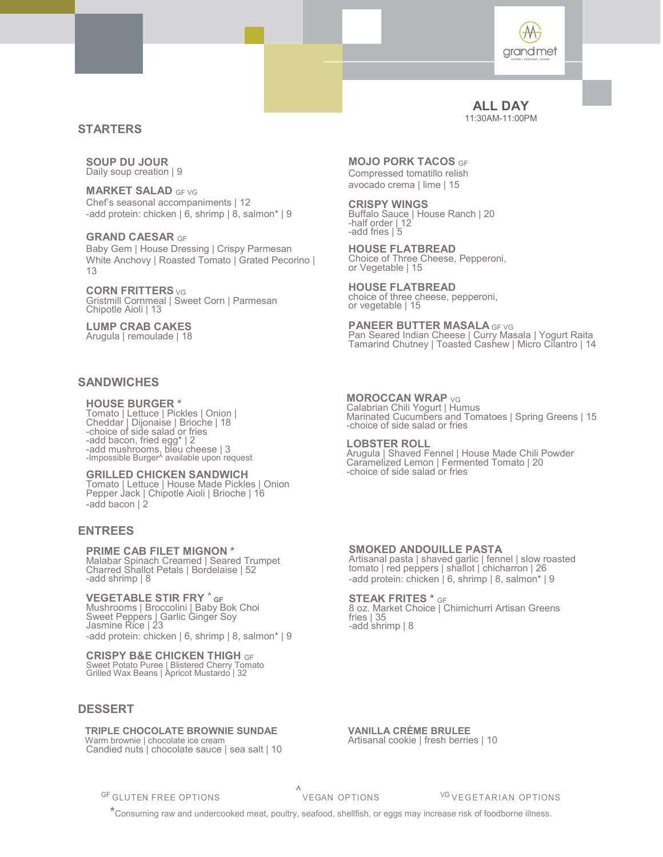

### ALL DAY 11:30AM-11:00PM

## **STARTERS**

SOUP DU JOUR Daily soup creation | 9

**MARKET SALAD GF VG** Chef's seasonal accompaniments | 12 -add protein: chicken | 6, shrimp | 8, salmon\* | 9

GRAND CAESAR GF Baby Gem | House Dressing | Crispy Parmesan White Anchovy | Roasted Tomato | Grated Pecorino | 13

CORN FRITTERS <sub>VG</sub> Gristmill Cornmeal | Sweet Corn | Parmesan Chipotle Aioli | 13

LUMP CRAB CAKES Arugula | remoulade | 18

## **SANDWICHES**

### HOUSE BURGER \*

Tomato | Lettuce | Pickles | Onion | Cheddar | Dijonaise | Brioche | 18 -choice of side salad or fries -add bacon, fried egg\* | 2 -add mushrooms, bleu cheese | 3<br>-Impossible Burger^ available upon request

#### GRILLED CHICKEN SANDWICH

Tomato | Lettuce | House Made Pickles | Onion Pepper Jack | Chipotle Aioli | Brioche | 16 -add bacon | 2

## ENTREES

#### PRIME CAB FILET MIGNON \*

Malabar Spinach Creamed | Seared Trumpet Charred Shallot Petals | Bordelaise | 52 -add shrimp | 8

**VEGETABLE STIR FRY ^** GF<br>Mushrooms | Broccolini | Baby Bok Choi Sweet Peppers | Garlic Ginger Soy Jasmine Rice | 23 -add protein: chicken | 6, shrimp | 8, salmon\* | 9 **REES**<br>
IME CAB FILET MIGNON \*<br>
SAMORED ANDOULLE PASTA<br>
data Spinal Crocenard Tseared Tumpet<br>
of strain p is contained to reasonal passes is the region of the film of the<br>
distribution of the strains of the contain of the

### CRISPY B&E CHICKEN THIGH GF

Sweet Potato Puree | Blistered Cherry Tomato Grilled Wax Beans | Apricot Mustardo | 32

## DESSERT

Candied nuts | chocolate sauce | sea salt | 10

MOJO PORK TACOS GF Compressed tomatillo relish avocado crema | lime | 15

CRISPY WINGS Buffalo Sauce | House Ranch | 20 -half order | 12 -add fries | 5

HOUSE FLATBREAD Choice of Three Cheese, Pepperoni, or Vegetable | 15

HOUSE FLATBREAD choice of three cheese, pepperoni, or vegetable | 15

PANEER BUTTER MASALA GF VG Pan Seared Indian Cheese | Curry Masala | Yogurt Raita Tamarind Chutney | Toasted Cashew | Micro Cilantro | 14

### MOROCCAN WRAP <sub>VG</sub>

Calabrian Chili Yogurt | Humus Marinated Cucumbers and Tomatoes | Spring Greens | 15 -choice of side salad or fries

### LOBSTER ROLL

Arugula | Shaved Fennel | House Made Chili Powder Caramelized Lemon | Fermented Tomato | 20 -choice of side salad or fries

### SMOKED ANDOUILLE PASTA

Artisanal pasta | shaved garlic | fennel | slow roasted tomato | red peppers | shallot | chicharron | 26 -add protein: chicken | 6, shrimp | 8, salmon\* | 9

#### STEAK FRITES \* GF

8 oz. Market Choice | Chimichurri Artisan Greens fries | 35 -add shrimp | 8

 TRIPLE CHOCOLATE BROWNIE SUNDAE VANILLA CRÈME BRULEE Warm brownie | chocolate ice cream Artisanal cookie | fresh berries | 10

\*Consuming raw and undercooked meat, poultry, seafood, shellfish, or eggs may increase risk of foodborne illness.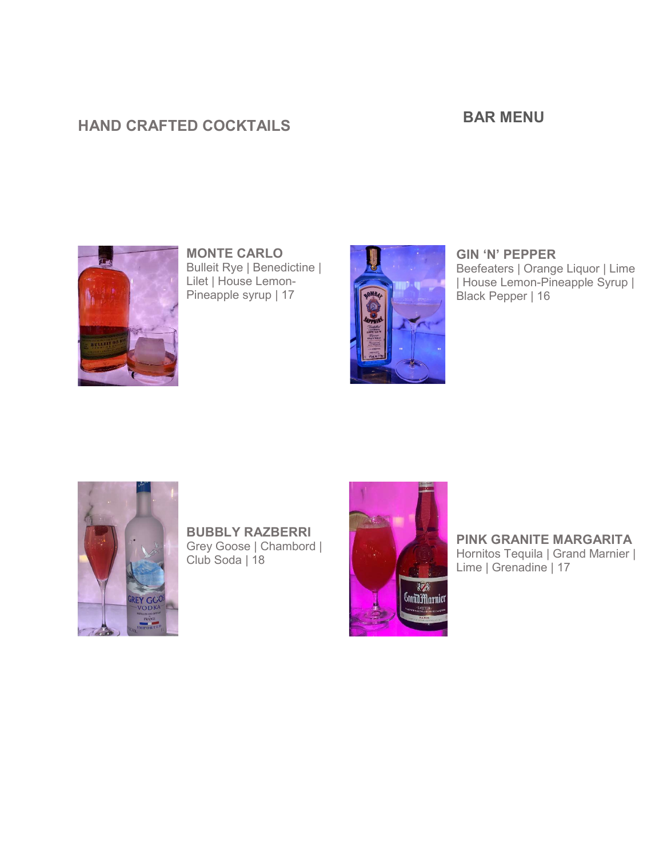# HAND CRAFTED COCKTAILS

## BAR MENU



MONTE CARLO Bulleit Rye | Benedictine | Lilet | House Lemon-Pineapple syrup | 17



GIN 'N' PEPPER Beefeaters | Orange Liquor | Lime | House Lemon-Pineapple Syrup | Black Pepper | 16



BUBBLY RAZBERRI Grey Goose | Chambord | Club Soda | 18



PINK GRANITE MARGARITA Hornitos Tequila | Grand Marnier | Lime | Grenadine | 17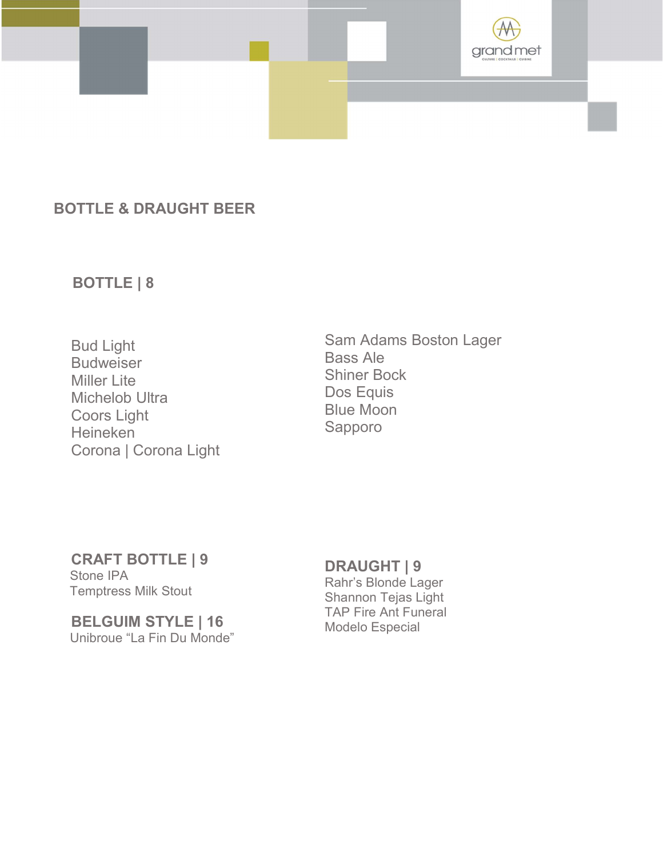

# BOTTLE & DRAUGHT BEER

# BOTTLE | 8

 Bud Light Budweiser Miller Lite Michelob Ultra Coors Light Heineken Corona | Corona Light

Sam Adams Boston Lager Bass Ale Shiner Bock Dos Equis Blue Moon Sapporo

## CRAFT BOTTLE | 9

 Stone IPA Temptress Milk Stout

## BELGUIM STYLE | 16 Unibroue "La Fin Du Monde"

# DRAUGHT | 9

Rahr's Blonde Lager Shannon Tejas Light TAP Fire Ant Funeral Modelo Especial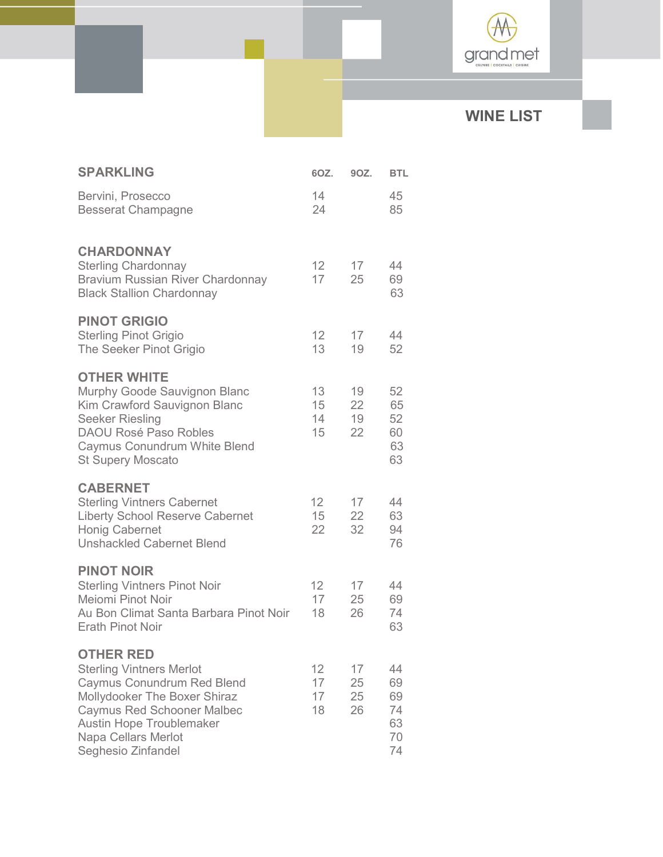

# WINE LIST

| <b>SPARKLING</b>                                                                                                                                                                                                                       | 6OZ.                        | 90Z.                 | <b>BTL</b>                             |
|----------------------------------------------------------------------------------------------------------------------------------------------------------------------------------------------------------------------------------------|-----------------------------|----------------------|----------------------------------------|
| Bervini, Prosecco<br><b>Besserat Champagne</b>                                                                                                                                                                                         | 14<br>24                    |                      | 45<br>85                               |
| <b>CHARDONNAY</b><br><b>Sterling Chardonnay</b><br><b>Bravium Russian River Chardonnay</b><br><b>Black Stallion Chardonnay</b>                                                                                                         | 12<br>17                    | 17<br>25             | 44<br>69<br>63                         |
| <b>PINOT GRIGIO</b><br><b>Sterling Pinot Grigio</b><br>The Seeker Pinot Grigio                                                                                                                                                         | 12 <sup>°</sup><br>13       | 17<br>19             | 44<br>52                               |
| <b>OTHER WHITE</b><br>Murphy Goode Sauvignon Blanc<br>Kim Crawford Sauvignon Blanc<br><b>Seeker Riesling</b><br><b>DAOU Rosé Paso Robles</b><br>Caymus Conundrum White Blend<br><b>St Supery Moscato</b>                               | 13<br>15<br>14<br>15        | 19<br>22<br>19<br>22 | 52<br>65<br>52<br>60<br>63<br>63       |
| <b>CABERNET</b><br><b>Sterling Vintners Cabernet</b><br><b>Liberty School Reserve Cabernet</b><br><b>Honig Cabernet</b><br><b>Unshackled Cabernet Blend</b>                                                                            | 12<br>15<br>22              | 17<br>22<br>32       | 44<br>63<br>94<br>76                   |
| <b>PINOT NOIR</b><br><b>Sterling Vintners Pinot Noir</b><br>Meiomi Pinot Noir<br>Au Bon Climat Santa Barbara Pinot Noir<br><b>Erath Pinot Noir</b>                                                                                     | 12 <sup>°</sup><br>17<br>18 | 17<br>25<br>26       | 44<br>69<br>74<br>63                   |
| <b>OTHER RED</b><br><b>Sterling Vintners Merlot</b><br>Caymus Conundrum Red Blend<br>Mollydooker The Boxer Shiraz<br><b>Caymus Red Schooner Malbec</b><br><b>Austin Hope Troublemaker</b><br>Napa Cellars Merlot<br>Seghesio Zinfandel | 12<br>17<br>17<br>18        | 17<br>25<br>25<br>26 | 44<br>69<br>69<br>74<br>63<br>70<br>74 |